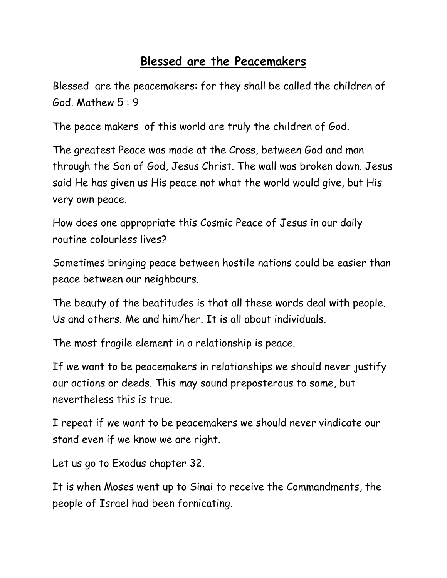## **Blessed are the Peacemakers**

Blessed are the peacemakers: for they shall be called the children of God. Mathew 5 : 9

The peace makers of this world are truly the children of God.

The greatest Peace was made at the Cross, between God and man through the Son of God, Jesus Christ. The wall was broken down. Jesus said He has given us His peace not what the world would give, but His very own peace.

How does one appropriate this Cosmic Peace of Jesus in our daily routine colourless lives?

Sometimes bringing peace between hostile nations could be easier than peace between our neighbours.

The beauty of the beatitudes is that all these words deal with people. Us and others. Me and him/her. It is all about individuals.

The most fragile element in a relationship is peace.

If we want to be peacemakers in relationships we should never justify our actions or deeds. This may sound preposterous to some, but nevertheless this is true.

I repeat if we want to be peacemakers we should never vindicate our stand even if we know we are right.

Let us go to Exodus chapter 32.

It is when Moses went up to Sinai to receive the Commandments, the people of Israel had been fornicating.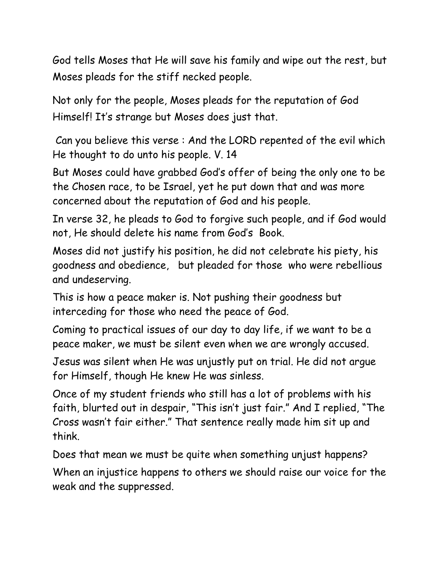God tells Moses that He will save his family and wipe out the rest, but Moses pleads for the stiff necked people.

Not only for the people, Moses pleads for the reputation of God Himself! It's strange but Moses does just that.

Can you believe this verse : And the LORD repented of the evil which He thought to do unto his people. V. 14

But Moses could have grabbed God's offer of being the only one to be the Chosen race, to be Israel, yet he put down that and was more concerned about the reputation of God and his people.

In verse 32, he pleads to God to forgive such people, and if God would not, He should delete his name from God's Book.

Moses did not justify his position, he did not celebrate his piety, his goodness and obedience, but pleaded for those who were rebellious and undeserving.

This is how a peace maker is. Not pushing their goodness but interceding for those who need the peace of God.

Coming to practical issues of our day to day life, if we want to be a peace maker, we must be silent even when we are wrongly accused.

Jesus was silent when He was unjustly put on trial. He did not argue for Himself, though He knew He was sinless.

Once of my student friends who still has a lot of problems with his faith, blurted out in despair, "This isn't just fair." And I replied, "The Cross wasn't fair either." That sentence really made him sit up and think.

Does that mean we must be quite when something unjust happens? When an injustice happens to others we should raise our voice for the weak and the suppressed.